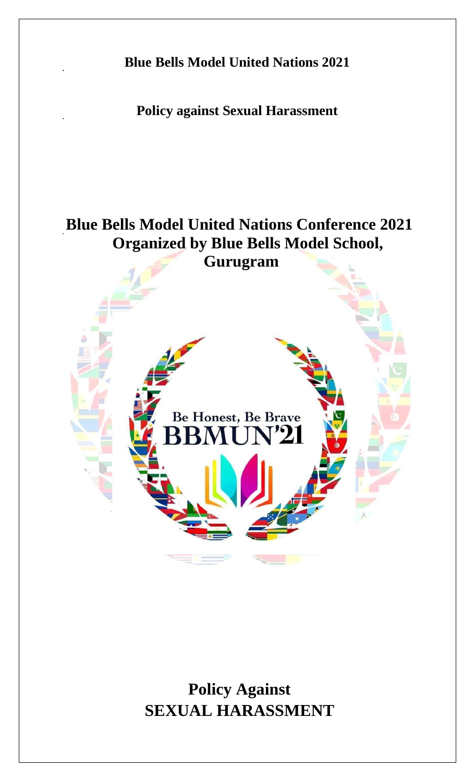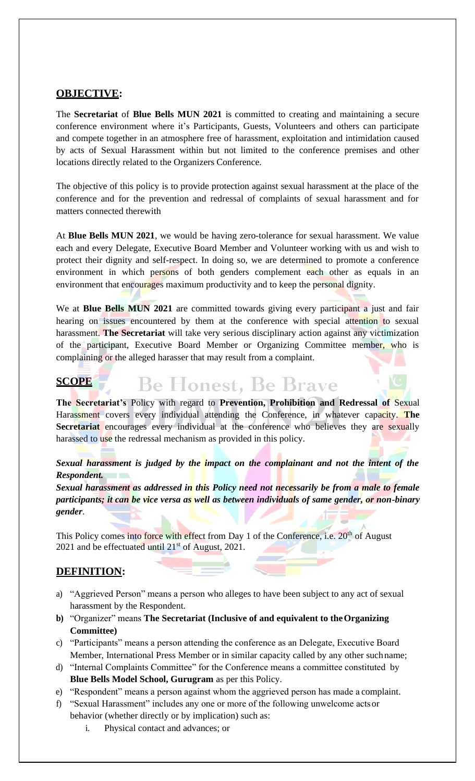#### **OBJECTIVE:**

The **Secretariat** of **Blue Bells MUN 2021** is committed to creating and maintaining a secure conference environment where it's Participants, Guests, Volunteers and others can participate and compete together in an atmosphere free of harassment, exploitation and intimidation caused by acts of Sexual Harassment within but not limited to the conference premises and other locations directly related to the Organizers Conference.

The objective of this policy is to provide protection against sexual harassment at the place of the conference and for the prevention and redressal of complaints of sexual harassment and for matters connected therewith

At **Blue Bells MUN 2021**, we would be having zero-tolerance for sexual harassment. We value each and every Delegate, Executive Board Member and Volunteer working with us and wish to protect their dignity and self-respect. In doing so, we are determined to promote a conference environment in which persons of both genders complement each other as equals in an environment that encourages maximum productivity and to keep the personal dignity.

We at **Blue Bells MUN 2021** are committed towards giving every participant a just and fair hearing on issues encountered by them at the conference with special attention to sexual harassment. **The Secretariat** will take very serious disciplinary action against any victimization of the participant, Executive Board Member or Organizing Committee member, who is complaining or the alleged harasser that may result from a complaint.

### **SCOPE**

**The Secretariat's** Policy with regard to **Prevention, Prohibition and Redressal of** Sexual Harassment covers every individual attending the Conference, in whatever capacity. **The Secretariat** encourages every individual at the conference who believes they are sexually harassed to use the redressal mechanism as provided in this policy.

**Be Honest, Be Brave** 

*Sexual harassment is judged by the impact on the complainant and not the intent of the Respondent.*

*Sexual harassment as addressed in this Policy need not necessarily be from a male to female participants; it can be vice versa as well as between individuals of same gender, or non-binary gender*.

This Policy comes into force with effect from Day 1 of the Conference, i.e.  $20<sup>th</sup>$  of August 2021 and be effectuated until  $21<sup>st</sup>$  of August, 2021.

### **DEFINITION:**

- a) "Aggrieved Person" means a person who alleges to have been subject to any act of sexual harassment by the Respondent.
- **b)** "Organizer" means **The Secretariat (Inclusive of and equivalent to theOrganizing Committee)**
- c) "Participants" means a person attending the conference as an Delegate, Executive Board Member, International Press Member or in similar capacity called by any other suchname;
- d) "Internal Complaints Committee" for the Conference means a committee constituted by **Blue Bells Model School, Gurugram** as per this Policy.
- e) "Respondent" means a person against whom the aggrieved person has made a complaint.
- f) "Sexual Harassment" includes any one or more of the following unwelcome actsor behavior (whether directly or by implication) such as:
	- i. Physical contact and advances; or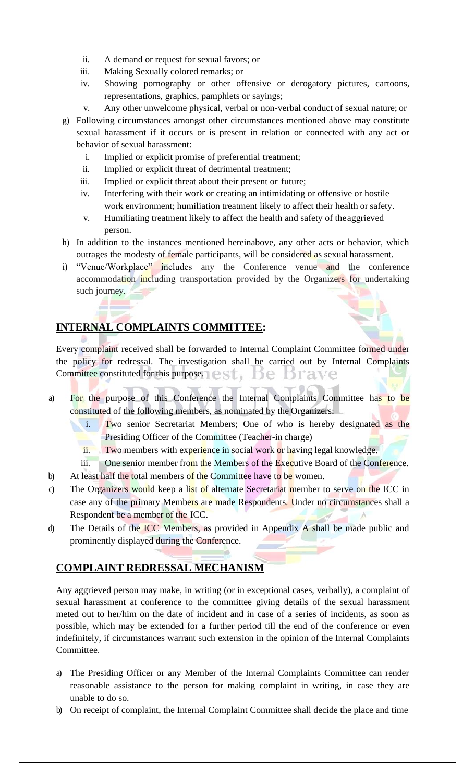- ii. A demand or request for sexual favors; or
- iii. Making Sexually colored remarks; or
- iv. Showing pornography or other offensive or derogatory pictures, cartoons, representations, graphics, pamphlets or sayings;
- v. Any other unwelcome physical, verbal or non-verbal conduct of sexual nature; or
- g) Following circumstances amongst other circumstances mentioned above may constitute sexual harassment if it occurs or is present in relation or connected with any act or behavior of sexual harassment:
	- i. Implied or explicit promise of preferential treatment;
	- ii. Implied or explicit threat of detrimental treatment;
	- iii. Implied or explicit threat about their present or future;
	- iv. Interfering with their work or creating an intimidating or offensive or hostile work environment; humiliation treatment likely to affect their health or safety.
	- v. Humiliating treatment likely to affect the health and safety of theaggrieved person.
- h) In addition to the instances mentioned hereinabove, any other acts or behavior, which outrages the modesty of female participants, will be considered as sexual harassment.
- i) "Venue/Workplace" includes any the Conference venue and the conference accommodation including transportation provided by the Organizers for undertaking such journey.

# **INTERNAL COMPLAINTS COMMITTEE:**

Every complaint received shall be forwarded to Internal Complaint Committee formed under the policy for redressal. The investigation shall be carried out by Internal Complaints Committee constituted for this purpose.  $\blacksquare \in \mathbb{S} \mathbb{T}$ Þе srave

- a) For the purpose of this Conference the Internal Complaints Committee has to be constituted of the following members, as nominated by the Organizers:
	- i. Two senior Secretariat Members; One of who is hereby designated as the Presiding Officer of the Committee (Teacher-in charge)
	- ii. Two members with experience in social work or having legal knowledge.
	- iii. One senior member from the Members of the Executive Board of the Conference.
- b) At least half the total members of the Committee have to be women.
- c) The Organizers would keep a list of alternate Secretariat member to serve on the ICC in case any of the primary Members are made Respondents. Under no circumstances shall a Respondent be a member of the ICC.
- d) The Details of the ICC Members, as provided in Appendix A shall be made public and prominently displayed during the Conference.

# **COMPLAINT REDRESSAL MECHANISM**

Any aggrieved person may make, in writing (or in exceptional cases, verbally), a complaint of sexual harassment at conference to the committee giving details of the sexual harassment meted out to her/him on the date of incident and in case of a series of incidents, as soon as possible, which may be extended for a further period till the end of the conference or even indefinitely, if circumstances warrant such extension in the opinion of the Internal Complaints Committee.

- a) The Presiding Officer or any Member of the Internal Complaints Committee can render reasonable assistance to the person for making complaint in writing, in case they are unable to do so.
- b) On receipt of complaint, the Internal Complaint Committee shall decide the place and time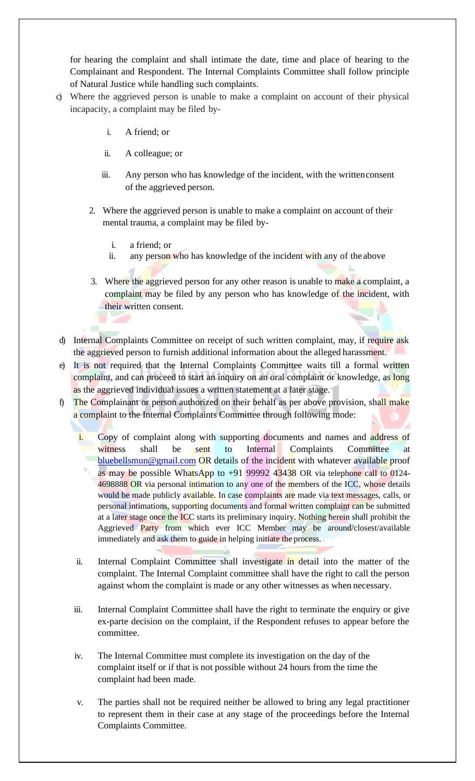for hearing the complaint and shall intimate the date, time and place of hearing to the Complainant and Respondent. The Internal Complaints Committee shall follow principle of Natural Justice while handling such complaints.

- c) Where the aggrieved person is unable to make a complaint on account of their physical incapacity, a complaint may be filed by
	- i. A friend; or
	- ii. A colleague; or
	- iii. Any person who has knowledge of the incident, with the writtenconsent of the aggrieved person.
	- 2. Where the aggrieved person is unable to make a complaint on account of their mental trauma, a complaint may be filed by
		- i. a friend; or
		- ii. any person who has knowledge of the incident with any of the above
	- 3. Where the aggrieved person for any other reason is unable to make a complaint, a complaint may be filed by any person who has knowledge of the incident, with their written consent.
- d) Internal Complaints Committee on receipt of such written complaint, may, if require ask the aggrieved person to furnish additional information about the alleged harassment.
- e) It is not required that the Internal Complaints Committee waits till a formal written complaint, and can proceed to start an inquiry on an oral complaint or knowledge, as long as the aggrieved individual issues a written statement at a later stage.
- f) The Complainant or person authorized on their behalf as per above provision, shall make a complaint to the Internal Complaints Committee through following mode:
	- i. Copy of complaint along with supporting documents and names and address of witness shall be sent to Internal Complaints Committee at [bluebellsmun@gmail.com](mailto:bluebellsmun@gmail.com) OR details of the incident with whatever available proof as may be possible WhatsApp to  $+91$  99992 43438 OR via telephone call to 0124-4698888 OR via personal intimation to any one of the members of the ICC, whose details would be made publicly available. In case complaints are made via text messages, calls, or personal intimations, supporting documents and formal written complaint can be submitted at a later stage once the ICC starts its preliminary inquiry. Nothing herein shall prohibit the Aggrieved Party from which ever ICC Member may be around/closest/available immediately and ask them to guide in helping initiate the process.
	- ii. Internal Complaint Committee shall investigate in detail into the matter of the complaint. The Internal Complaint committee shall have the right to call the person against whom the complaint is made or any other witnesses as when necessary.
	- iii. Internal Complaint Committee shall have the right to terminate the enquiry or give ex-parte decision on the complaint, if the Respondent refuses to appear before the committee.
	- iv. The Internal Committee must complete its investigation on the day of the complaint itself or if that is not possible without 24 hours from the time the complaint had been made.
	- v. The parties shall not be required neither be allowed to bring any legal practitioner to represent them in their case at any stage of the proceedings before the Internal Complaints Committee.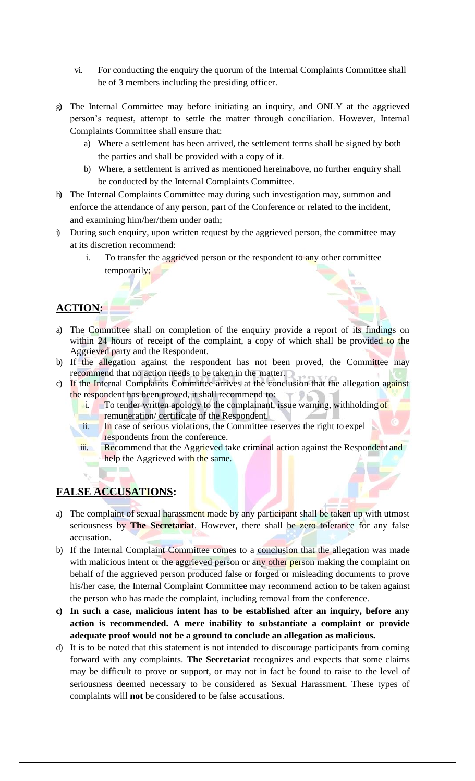- vi. For conducting the enquiry the quorum of the Internal Complaints Committee shall be of 3 members including the presiding officer.
- g) The Internal Committee may before initiating an inquiry, and ONLY at the aggrieved person's request, attempt to settle the matter through conciliation. However, Internal Complaints Committee shall ensure that:
	- a) Where a settlement has been arrived, the settlement terms shall be signed by both the parties and shall be provided with a copy of it.
	- b) Where, a settlement is arrived as mentioned hereinabove, no further enquiry shall be conducted by the Internal Complaints Committee.
- h) The Internal Complaints Committee may during such investigation may, summon and enforce the attendance of any person, part of the Conference or related to the incident, and examining him/her/them under oath;
- i) During such enquiry, upon written request by the aggrieved person, the committee may at its discretion recommend:
	- i. To transfer the aggrieved person or the respondent to any other committee temporarily;

## **ACTION:**

- a) The Committee shall on completion of the enquiry provide a report of its findings on within 24 hours of receipt of the complaint, a copy of which shall be provided to the Aggrieved party and the Respondent.
- b) If the allegation against the respondent has not been proved, the Committee may recommend that no action needs to be taken in the matter.
- c) If the Internal Complaints Committee arrives at the conclusion that the allegation against the respondent has been proved, it shall recommend to:
	- i. To tender written apology to the complainant, issue warning, withholding of remuneration/ certificate of the Respondent.
	- ii. In case of serious violations, the Committee reserves the right to expel respondents from the conference.
	- iii. Recommend that the Aggrieved take criminal action against the Respondent and help the Aggrieved with the same.

### **FALSE ACCUSATIONS:**

- a) The complaint of sexual harassment made by any participant shall be taken up with utmost seriousness by **The Secretariat**. However, there shall be zero tolerance for any false accusation.
- b) If the Internal Complaint Committee comes to a conclusion that the allegation was made with malicious intent or the aggrieved person or any other person making the complaint on behalf of the aggrieved person produced false or forged or misleading documents to prove his/her case, the Internal Complaint Committee may recommend action to be taken against the person who has made the complaint, including removal from the conference.
- **c) In such a case, malicious intent has to be established after an inquiry, before any action is recommended. A mere inability to substantiate a complaint or provide adequate proof would not be a ground to conclude an allegation as malicious.**
- d) It is to be noted that this statement is not intended to discourage participants from coming forward with any complaints. **The Secretariat** recognizes and expects that some claims may be difficult to prove or support, or may not in fact be found to raise to the level of seriousness deemed necessary to be considered as Sexual Harassment. These types of complaints will **not** be considered to be false accusations.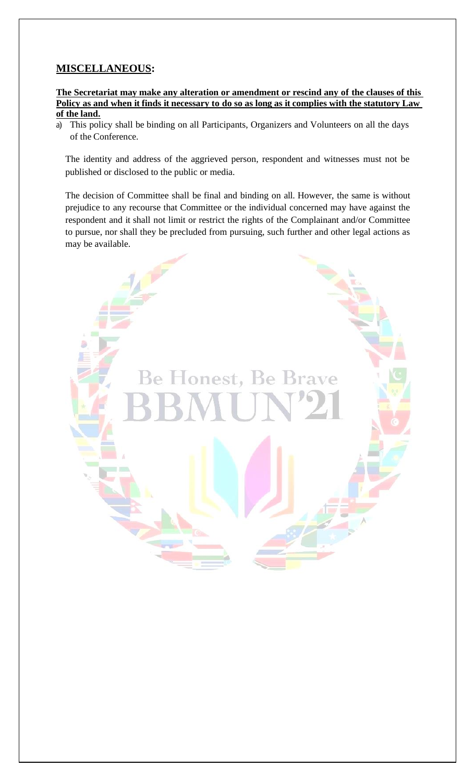## **MISCELLANEOUS:**

**The Secretariat may make any alteration or amendment or rescind any of the clauses of this Policy as and when it finds it necessary to do so as long as it complies with the statutory Law of the land.**

a) This policy shall be binding on all Participants, Organizers and Volunteers on all the days of the Conference.

The identity and address of the aggrieved person, respondent and witnesses must not be published or disclosed to the public or media.

The decision of Committee shall be final and binding on all. However, the same is without prejudice to any recourse that Committee or the individual concerned may have against the respondent and it shall not limit or restrict the rights of the Complainant and/or Committee to pursue, nor shall they be precluded from pursuing, such further and other legal actions as may be available.

Be Honest, Be Brave